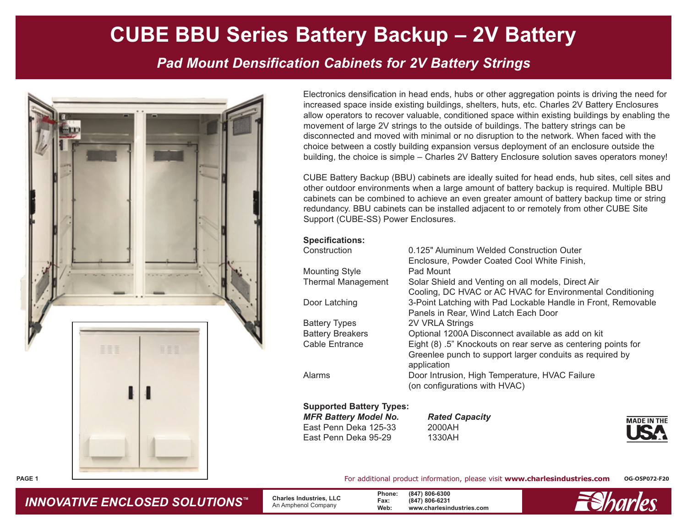# **CUBE BBU Series Battery Backup – 2V Battery**

*Pad Mount Densification Cabinets for 2V Battery Strings*



Electronics densification in head ends, hubs or other aggregation points is driving the need for increased space inside existing buildings, shelters, huts, etc. Charles 2V Battery Enclosures allow operators to recover valuable, conditioned space within existing buildings by enabling the movement of large 2V strings to the outside of buildings. The battery strings can be disconnected and moved with minimal or no disruption to the network. When faced with the choice between a costly building expansion versus deployment of an enclosure outside the building, the choice is simple – Charles 2V Battery Enclosure solution saves operators money!

CUBE Battery Backup (BBU) cabinets are ideally suited for head ends, hub sites, cell sites and other outdoor environments when a large amount of battery backup is required. Multiple BBU cabinets can be combined to achieve an even greater amount of battery backup time or string redundancy. BBU cabinets can be installed adjacent to or remotely from other CUBE Site Support (CUBE-SS) Power Enclosures.

**Specifications:**

| Construction            | 0.125" Aluminum Welded Construction Outer                               |  |  |
|-------------------------|-------------------------------------------------------------------------|--|--|
|                         | Enclosure, Powder Coated Cool White Finish,                             |  |  |
| <b>Mounting Style</b>   | Pad Mount                                                               |  |  |
| Thermal Management      | Solar Shield and Venting on all models, Direct Air                      |  |  |
|                         | Cooling, DC HVAC or AC HVAC for Environmental Conditioning              |  |  |
| Door Latching           | 3-Point Latching with Pad Lockable Handle in Front, Removable           |  |  |
|                         | Panels in Rear, Wind Latch Each Door                                    |  |  |
| Battery Types           | 2V VRLA Strings                                                         |  |  |
| <b>Battery Breakers</b> | Optional 1200A Disconnect available as add on kit                       |  |  |
| Cable Entrance          | Eight (8) .5" Knockouts on rear serve as centering points for           |  |  |
|                         | Greenlee punch to support larger conduits as required by<br>application |  |  |
| Alarms                  | Door Intrusion, High Temperature, HVAC Failure                          |  |  |
|                         | (on configurations with HVAC)                                           |  |  |
|                         |                                                                         |  |  |

**Supported Battery Types:** *MFR Battery Model No. Rated Capacity* East Penn Deka 125-33 2000AH East Penn Deka 95-29 1330AH

**MADE IN THE** 

*INNOVATIVE ENCLOSED SOLUTIONS ™*

 **Charles Industries, LLC** An Amphenol Company

**Phone: (847) 806-6300 Fax: (847) 806-6231 Web: www.charlesindustries.com**